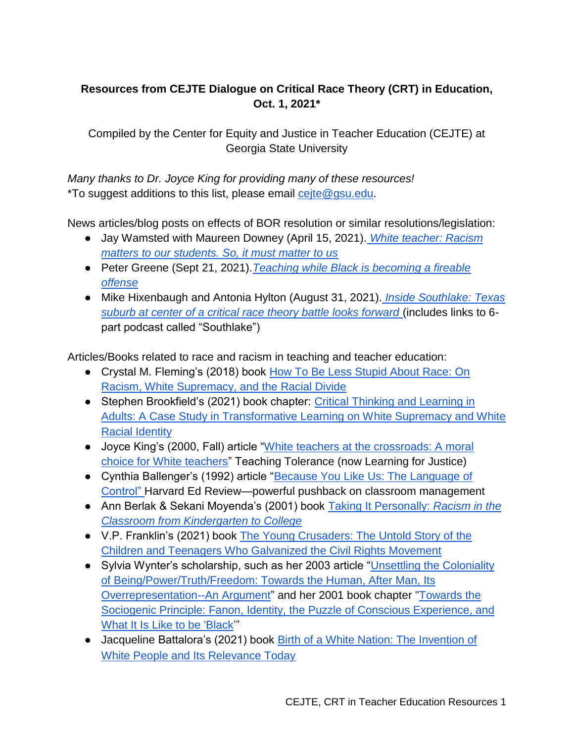## **Resources from CEJTE Dialogue on Critical Race Theory (CRT) in Education, Oct. 1, 2021\***

Compiled by the Center for Equity and Justice in Teacher Education (CEJTE) at Georgia State University

*Many thanks to Dr. Joyce King for providing many of these resources!* \*To suggest additions to this list, please email [cejte@gsu.edu.](mailto:cejte@gsu.edu)

News articles/blog posts on effects of BOR resolution or similar resolutions/legislation:

- Jay Wamsted with Maureen Downey (April 15, 2021)[.](https://www.ajc.com/education/get-schooled-blog/white-teacher-racism-matters-to-our-students-so-it-must-matter-to-us/CN4QRKGNI5CCPJPKG3JEAVD5IE/) *[White teacher: Racism](https://www.ajc.com/education/get-schooled-blog/white-teacher-racism-matters-to-our-students-so-it-must-matter-to-us/CN4QRKGNI5CCPJPKG3JEAVD5IE/)  [matters to our students. So, it must matter to us](https://www.ajc.com/education/get-schooled-blog/white-teacher-racism-matters-to-our-students-so-it-must-matter-to-us/CN4QRKGNI5CCPJPKG3JEAVD5IE/)*
- Peter Greene (Sept 21, 2021).*[Teaching while Black is becoming a fireable](https://progressive.org/public-schools-advocate/teaching-while-black-greene-210921/)  [offense](https://progressive.org/public-schools-advocate/teaching-while-black-greene-210921/)*
- [Mike Hixenbaugh](https://www.nbcnews.com/author/mike-hixenbaugh-ncpn270951) and Antonia Hylton (August 31, 2021)[.](https://www.nbcnews.com/news/us-news/inside-southlake-texas-suburb-center-critical-race-theory-battle-looks-n1277748) *[Inside Southlake: Texas](https://www.nbcnews.com/news/us-news/inside-southlake-texas-suburb-center-critical-race-theory-battle-looks-n1277748)  [suburb at center of a critical race theory battle looks forward](https://www.nbcnews.com/news/us-news/inside-southlake-texas-suburb-center-critical-race-theory-battle-looks-n1277748)* (includes links to 6 part podcast called "Southlake")

Articles/Books related to race and racism in teaching and teacher education:

- Crystal M. Fleming's (2018) book How To Be Less Stupid About Race: On [Racism, White Supremacy, and the Racial Divide](http://www.beacon.org/How-to-Be-Less-Stupid-About-Race-P1388.aspx)
- Stephen Brookfield's (2021) book chapter: Critical Thinking and Learning in [Adults: A Case Study in Transformative Learning on White Supremacy and White](https://static1.squarespace.com/static/5738a0ccd51cd47f81977fe8/t/5f88771cbb67494a5d033ebd/1602778910341/Crit+Thinking+in+Adults+and+White+Supremacy.pdf)  [Racial Identity](https://static1.squarespace.com/static/5738a0ccd51cd47f81977fe8/t/5f88771cbb67494a5d033ebd/1602778910341/Crit+Thinking+in+Adults+and+White+Supremacy.pdf)
- Joyce King's (2000, Fall) article "[White teachers at the crossroads: A moral](https://www.learningforjustice.org/magazine/fall-2000/white-teachers-at-the-crossroads)  [choice for White teachers](https://www.learningforjustice.org/magazine/fall-2000/white-teachers-at-the-crossroads)" Teaching Tolerance (now Learning for Justice)
- Cynthia Ballenger's (1992) article "[Because You Like Us: The Language of](https://www.hepg.org/her-home/issues/harvard-educational-review-volume-62,-issue-2/herarticle/the-language-of-control_376)  C[ontrol"](https://www.hepg.org/her-home/issues/harvard-educational-review-volume-62,-issue-2/herarticle/the-language-of-control_376) Harvard Ed Review—powerful pushback on classroom management
- Ann Berlak & Sekani Moyenda's (2001) book [Taking It Personally:](http://tupress.temple.edu/book/3549) *[Racism in the](http://tupress.temple.edu/book/3549)  [Classroom from Kindergarten to College](http://tupress.temple.edu/book/3549)*
- V.P. Franklin's (2021) book [The Young Crusaders: The Untold Story of the](https://www.penguinrandomhouse.com/books/670204/the-young-crusaders-by-vp-franklin/)  [Children and Teenagers Who Galvanized the Civil Rights Movement](https://www.penguinrandomhouse.com/books/670204/the-young-crusaders-by-vp-franklin/)
- Sylvia Wynter's scholarship, such as her 2003 article "Unsettling the Coloniality [of Being/Power/Truth/Freedom: Towards the Human, After Man, Its](https://muse.jhu.edu/article/51630)  [Overrepresentation--An Argument](https://muse.jhu.edu/article/51630)" and her 2001 book chapter ["Towards the](https://mumbletheoryhome.files.wordpress.com/2019/10/read-wynter-towards-the-sociogenic-principle-fanon-identity-and-the-puzzle-of-conscious-experience.pdf)  [Sociogenic Principle: Fanon, Identity, the Puzzle of Conscious Experience, and](https://mumbletheoryhome.files.wordpress.com/2019/10/read-wynter-towards-the-sociogenic-principle-fanon-identity-and-the-puzzle-of-conscious-experience.pdf)  [What It Is Like to be 'Black](https://mumbletheoryhome.files.wordpress.com/2019/10/read-wynter-towards-the-sociogenic-principle-fanon-identity-and-the-puzzle-of-conscious-experience.pdf)'"
- Jacqueline Battalora's (2021) book [Birth of a White Nation: The Invention of](https://www.routledge.com/Birth-of-a-White-Nation-The-Invention-of-White-People-and-Its-Relevance/Battalora/p/book/9780367517328)  [White People and Its Relevance Today](https://www.routledge.com/Birth-of-a-White-Nation-The-Invention-of-White-People-and-Its-Relevance/Battalora/p/book/9780367517328)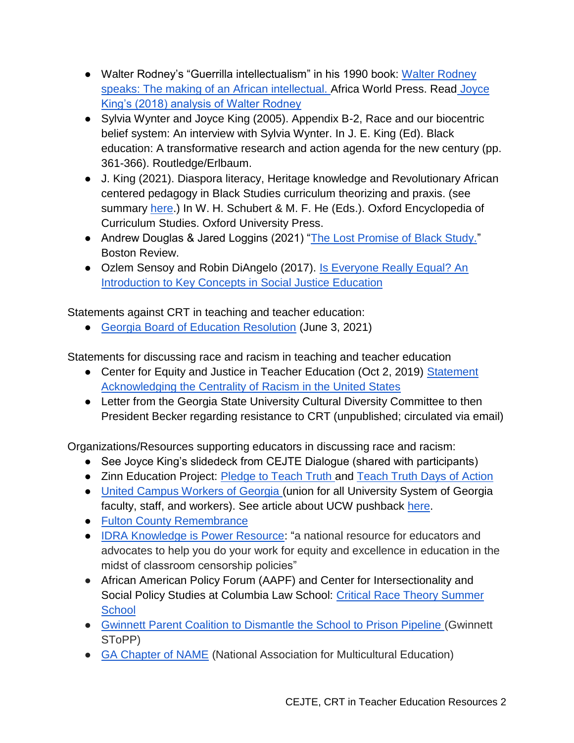- Walter Rodney's "Guerrilla intellectualism" in his 1990 book: Walter Rodney [speaks: The making of an African intellectual. A](https://www.newbeaconbooks.com/african-non-fiction/walter-rodney-speaks-the-making-of-an-african-intellectual)frica World Press. Read [Joyce](https://www.scielo.br/j/edur/a/TCLvCchp6g5Vz5qMwbxVtPS/?lang=en)  [King's \(2018\) analysis of Walter Rodney](https://www.scielo.br/j/edur/a/TCLvCchp6g5Vz5qMwbxVtPS/?lang=en)
- Sylvia Wynter and Joyce King (2005). Appendix B-2, Race and our biocentric belief system: An interview with Sylvia Wynter. In J. E. King (Ed). Black education: A transformative research and action agenda for the new century (pp. 361-366). Routledge/Erlbaum.
- J. King (2021). Diaspora literacy, Heritage knowledge and Revolutionary African centered pedagogy in Black Studies curriculum theorizing and praxis. (see summary [here.](https://oxfordre.com/education/view/10.1093/acrefore/9780190264093.001.0001/acrefore-9780190264093-e-1566)) In W. H. Schubert & M. F. He (Eds.). Oxford Encyclopedia of Curriculum Studies. Oxford University Press.
- Andrew Douglas & Jared Loggins (2021) "[The Lost Promise of Black Study.](https://bostonreview.net/race/andrew-j-douglas-jared-loggins-lost-promise-black-study)" Boston Review.
- Ozlem Sensoy and Robin DiAngelo (2017). Is Everyone Really Equal? An [Introduction to Key Concepts in Social Justice Education](https://www.tcpress.com/is-everyone-really-equal-9780807758618)

Statements against CRT in teaching and teacher education:

● [Georgia Board of Education Resolution](https://simbli.eboardsolutions.com/Meetings/Attachment.aspx?S=1262&AID=1274907&MID=93474) (June 3, 2021)

Statements for discussing race and racism in teaching and teacher education

- Center for Equity and Justice in Teacher Education (Oct 2, 2019) Statement [Acknowledging the Centrality of Racism in the United States](https://education.gsu.edu/download/centrality-of-racism_cejte-statement/?wpdmdl=6554978%22)
- Letter from the Georgia State University Cultural Diversity Committee to then President Becker regarding resistance to CRT (unpublished; circulated via email)

Organizations/Resources supporting educators in discussing race and racism:

- See Joyce King's slidedeck from CEJTE Dialogue (shared with participants)
- Zinn Education Project: [Pledge to Teach Truth a](https://www.zinnedproject.org/news/pledge-to-teach-truth)nd Teach Truth Days of Action
- [United Campus Workers of Georgia \(](https://www.ucwga.com/)union for all University System of Georgia faculty, staff, and workers). See article about UCW pushback [here.](https://www.ucwga.com/news/ucwga-speaks-out-against-dunahoo-s-interrogation)
- [Fulton County Remembrance](https://fultonremembrance.org/)
- [IDRA Knowledge is Power Resource](https://www.idra.org/services/knowledge-is-power/): "a national resource for educators and advocates to help you do your work for equity and excellence in education in the midst of classroom censorship policies"
- African American Policy Forum (AAPF) and Center for Intersectionality and Social Policy Studies at Columbia Law School: Critical Race Theory Summer **School**
- [Gwinnett Parent Coalition to Dismantle the School to Prison Pipeline \(](https://www.learningforjustice.org/magazine/parents-push-for-student-safety)Gwinnett SToPP)
- [GA Chapter of NAME](http://www.ganame.org/ganame/GANAMEabout.htm) (National Association for Multicultural Education)